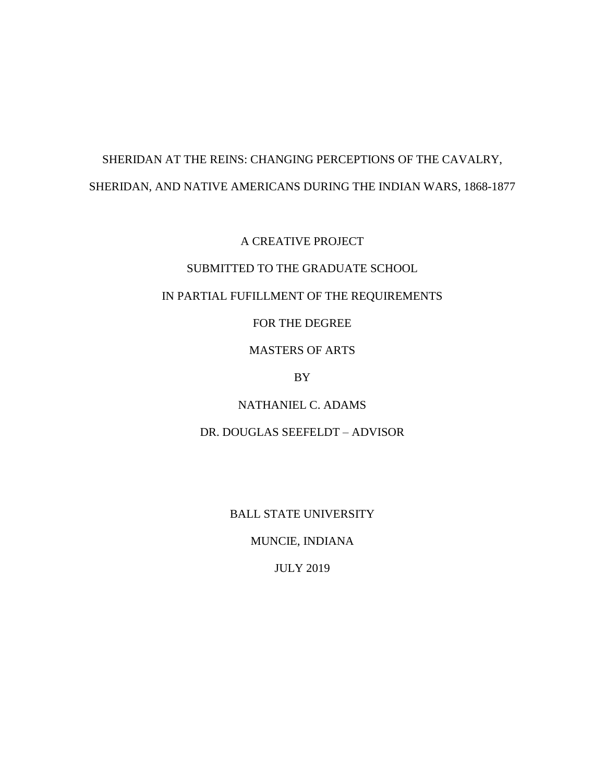## SHERIDAN AT THE REINS: CHANGING PERCEPTIONS OF THE CAVALRY, SHERIDAN, AND NATIVE AMERICANS DURING THE INDIAN WARS, 1868-1877

A CREATIVE PROJECT

## SUBMITTED TO THE GRADUATE SCHOOL

## IN PARTIAL FUFILLMENT OF THE REQUIREMENTS

FOR THE DEGREE

MASTERS OF ARTS

BY

NATHANIEL C. ADAMS

DR. DOUGLAS SEEFELDT – ADVISOR

BALL STATE UNIVERSITY

MUNCIE, INDIANA

JULY 2019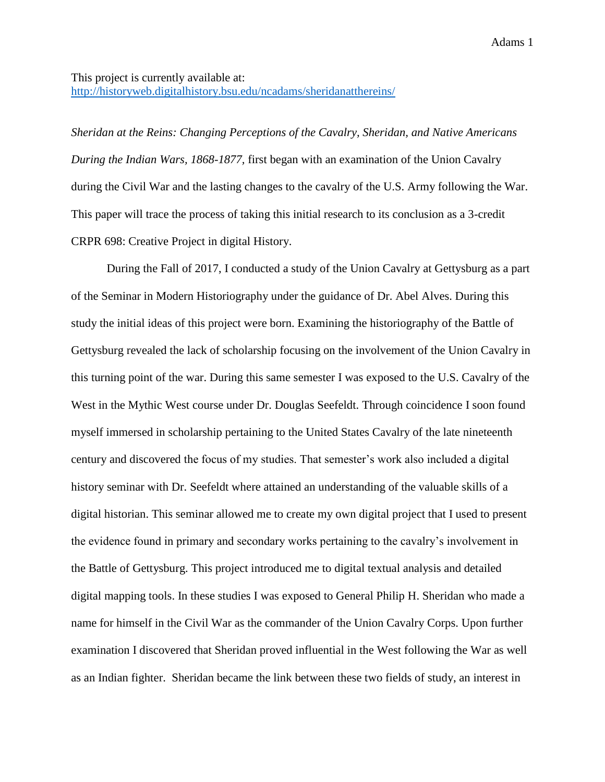## This project is currently available at:

<http://historyweb.digitalhistory.bsu.edu/ncadams/sheridanatthereins/>

*Sheridan at the Reins: Changing Perceptions of the Cavalry, Sheridan, and Native Americans During the Indian Wars, 1868-1877,* first began with an examination of the Union Cavalry during the Civil War and the lasting changes to the cavalry of the U.S. Army following the War. This paper will trace the process of taking this initial research to its conclusion as a 3-credit CRPR 698: Creative Project in digital History.

During the Fall of 2017, I conducted a study of the Union Cavalry at Gettysburg as a part of the Seminar in Modern Historiography under the guidance of Dr. Abel Alves. During this study the initial ideas of this project were born. Examining the historiography of the Battle of Gettysburg revealed the lack of scholarship focusing on the involvement of the Union Cavalry in this turning point of the war. During this same semester I was exposed to the U.S. Cavalry of the West in the Mythic West course under Dr. Douglas Seefeldt. Through coincidence I soon found myself immersed in scholarship pertaining to the United States Cavalry of the late nineteenth century and discovered the focus of my studies. That semester's work also included a digital history seminar with Dr. Seefeldt where attained an understanding of the valuable skills of a digital historian. This seminar allowed me to create my own digital project that I used to present the evidence found in primary and secondary works pertaining to the cavalry's involvement in the Battle of Gettysburg. This project introduced me to digital textual analysis and detailed digital mapping tools. In these studies I was exposed to General Philip H. Sheridan who made a name for himself in the Civil War as the commander of the Union Cavalry Corps. Upon further examination I discovered that Sheridan proved influential in the West following the War as well as an Indian fighter. Sheridan became the link between these two fields of study, an interest in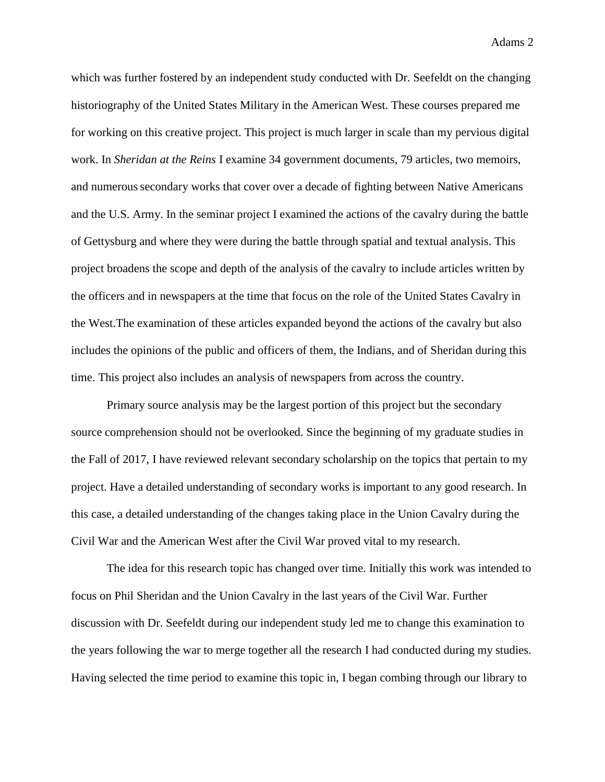Adams 2

which was further fostered by an independent study conducted with Dr. Seefeldt on the changing historiography of the United States Military in the American West. These courses prepared me for working on this creative project. This project is much larger in scale than my pervious digital work. In *Sheridan at the Reins* I examine 34 government documents, 79 articles, two memoirs, and numeroussecondary works that cover over a decade of fighting between Native Americans and the U.S. Army. In the seminar project I examined the actions of the cavalry during the battle of Gettysburg and where they were during the battle through spatial and textual analysis. This project broadens the scope and depth of the analysis of the cavalry to include articles written by the officers and in newspapers at the time that focus on the role of the United States Cavalry in the West.The examination of these articles expanded beyond the actions of the cavalry but also includes the opinions of the public and officers of them, the Indians, and of Sheridan during this time. This project also includes an analysis of newspapers from across the country.

Primary source analysis may be the largest portion of this project but the secondary source comprehension should not be overlooked. Since the beginning of my graduate studies in the Fall of 2017, I have reviewed relevant secondary scholarship on the topics that pertain to my project. Have a detailed understanding of secondary works is important to any good research. In this case, a detailed understanding of the changes taking place in the Union Cavalry during the Civil War and the American West after the Civil War proved vital to my research.

The idea for this research topic has changed over time. Initially this work was intended to focus on Phil Sheridan and the Union Cavalry in the last years of the Civil War. Further discussion with Dr. Seefeldt during our independent study led me to change this examination to the years following the war to merge together all the research I had conducted during my studies. Having selected the time period to examine this topic in, I began combing through our library to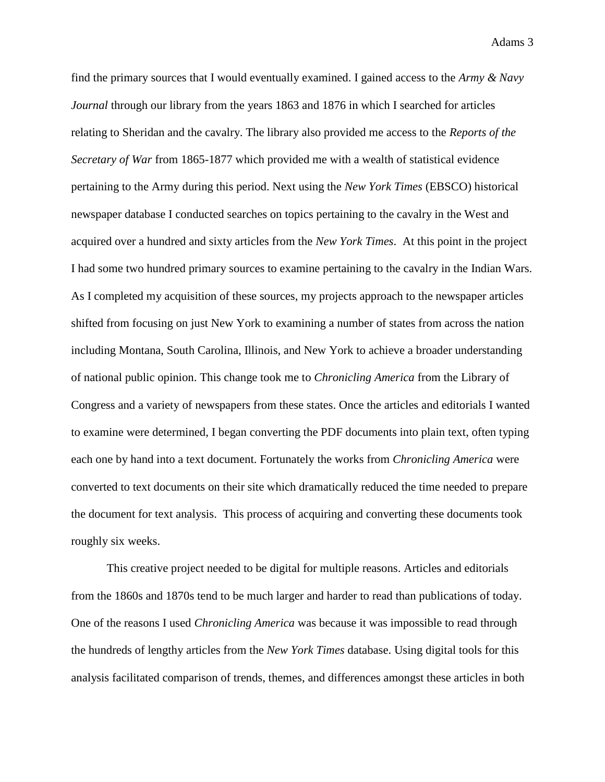find the primary sources that I would eventually examined. I gained access to the *Army & Navy Journal* through our library from the years 1863 and 1876 in which I searched for articles relating to Sheridan and the cavalry. The library also provided me access to the *Reports of the Secretary of War* from 1865-1877 which provided me with a wealth of statistical evidence pertaining to the Army during this period. Next using the *New York Times* (EBSCO) historical newspaper database I conducted searches on topics pertaining to the cavalry in the West and acquired over a hundred and sixty articles from the *New York Times*. At this point in the project I had some two hundred primary sources to examine pertaining to the cavalry in the Indian Wars. As I completed my acquisition of these sources, my projects approach to the newspaper articles shifted from focusing on just New York to examining a number of states from across the nation including Montana, South Carolina, Illinois, and New York to achieve a broader understanding of national public opinion. This change took me to *Chronicling America* from the Library of Congress and a variety of newspapers from these states. Once the articles and editorials I wanted to examine were determined, I began converting the PDF documents into plain text, often typing each one by hand into a text document. Fortunately the works from *Chronicling America* were converted to text documents on their site which dramatically reduced the time needed to prepare the document for text analysis. This process of acquiring and converting these documents took roughly six weeks.

This creative project needed to be digital for multiple reasons. Articles and editorials from the 1860s and 1870s tend to be much larger and harder to read than publications of today. One of the reasons I used *Chronicling America* was because it was impossible to read through the hundreds of lengthy articles from the *New York Times* database. Using digital tools for this analysis facilitated comparison of trends, themes, and differences amongst these articles in both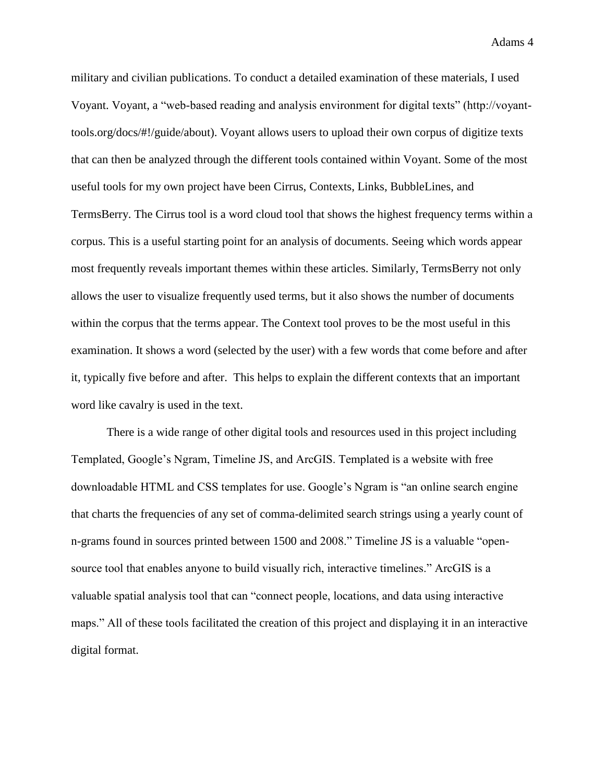military and civilian publications. To conduct a detailed examination of these materials, I used Voyant. Voyant, a "web-based reading and analysis environment for digital texts" (http://voyanttools.org/docs/#!/guide/about). Voyant allows users to upload their own corpus of digitize texts that can then be analyzed through the different tools contained within Voyant. Some of the most useful tools for my own project have been Cirrus, Contexts, Links, BubbleLines, and TermsBerry. The Cirrus tool is a word cloud tool that shows the highest frequency terms within a corpus. This is a useful starting point for an analysis of documents. Seeing which words appear most frequently reveals important themes within these articles. Similarly, TermsBerry not only allows the user to visualize frequently used terms, but it also shows the number of documents within the corpus that the terms appear. The Context tool proves to be the most useful in this examination. It shows a word (selected by the user) with a few words that come before and after it, typically five before and after. This helps to explain the different contexts that an important word like cavalry is used in the text.

There is a wide range of other digital tools and resources used in this project including Templated, Google's Ngram, Timeline JS, and ArcGIS. Templated is a website with free downloadable HTML and CSS templates for use. Google's Ngram is "an online search engine that charts the frequencies of any set of comma-delimited search strings using a yearly count of n-grams found in sources printed between 1500 and 2008." Timeline JS is a valuable "opensource tool that enables anyone to build visually rich, interactive timelines." ArcGIS is a valuable spatial analysis tool that can "connect people, locations, and data using interactive maps." All of these tools facilitated the creation of this project and displaying it in an interactive digital format.